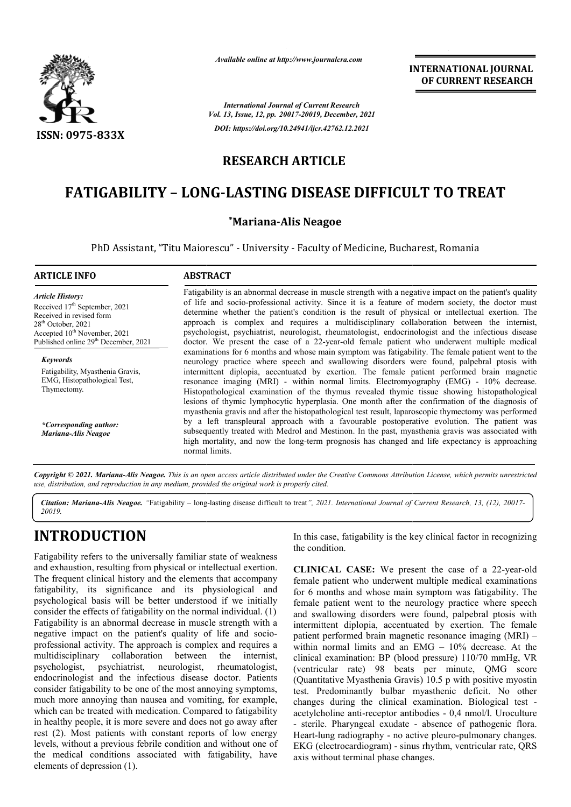

*Available online at http://www.journalcra.com*

**INTERNATIONAL JOURNAL OF CURRENT RESEARCH**

*International Journal of Current Research Vol. 13, Issue, 12, pp. 20017-20019, December, 2021 DOI: https://doi.org/10.24941/ijcr.42762.12.2021*

### **RESEARCH ARTICLE**

# **FATIGABILITY – LONG LONG-LASTING DISEASE DIFFICULT TO TREAT LASTING DISEASE**

#### **\*Mariana-Alis Neagoe**

PhD Assistant, "Titu Maiorescu" - University - Faculty of Medicine, Bucharest, Romania

#### **ARTICLE INFO ABSTRACT** Fatigability is an abnormal decrease in muscle strength with a negative impact on the patient's quality of life and socio-professional activity. Since it is a feature of modern society, the doctor must determine whether the patient's condition is the result of physical or intellectual exertion. The approach is complex and requires a multidisciplinary collaboration between the internist, psychologist, psychiatrist, neurologist, rheumatologist, endocrinologist and the infectious disease doctor. We present the case of a 22-year-old female patient who underwent multiple medical examinations for 6 months and whose main symptom was fatigability. The female patient went to the neurology practice where speech and swallowing disorders were found, palpebral ptosis with intermittent diplopia, accentuated by exertion. The female patient performed brain magnetic intermittent diplopia, accentuated by exertion. The female patient performed brain magnetic resonance imaging (MRI) - within normal limits. Electromyography (EMG) - 10% decrease. Histopathological examination of the thymus revealed th thymic tissue showing histopathological lesions of thymic lymphocytic hyperplasia. One month after the confirmation of the diagnosis of myasthenia gravis and after the histopathological test result, laparoscopic thymectomy was performed by a left transpleural approach with a favourable postoperative evolution. The patient was subsequently treated with Medrol and Mestinon. In the past, myasthenia gravis was associated with high mortality, and now the long-term prognosis has changed and life expectancy is appro normal limits. *Article History: Article History:* Received 17<sup>th</sup> September, 2021 Received in revised form Received in revised form  $28<sup>th</sup>$  October, 2021 Accepted 10<sup>th</sup> November, 2021 Published online 29<sup>th</sup> December, 2021 *Keywords* Fatigability, Myasthenia Gravis, EMG, Histopathological Test, Thymectomy. *\*Corresponding author: Mariana-Alis Neagoe* Fatigability is an abnormal decrease in muscle strength with a negative impact on the patient's quality of life and socio-professional activity. Since it is a feature of modern society, the doctor must determine whether th Histopathological examination of the thymus revealed thymic tissue showing histopathological lesions of thymic lymphocytic hyperplasia. One month after the confirmation of the diagnosis of myasthenia gravis and after the h

Copyright © 2021. Mariana-Alis Neagoe. This is an open access article distributed under the Creative Commons Attribution License, which permits unrestricted *use, distribution, and reproduction in any medium, provided the original work is properly cited.*

Citation: Mariana-Alis Neagoe. "Fatigability – long-lasting disease difficult to treat", 2021. International Journal of Current Research, 13, (12), 20017-*20019.*

# **INTRODUCTION**

Fatigability refers to the universally familiar state of weakness and exhaustion, resulting from physical or intellectual exertion. The frequent clinical history and the elements that accompany fatigability, its significance and its physiological and psychological basis will be better understood if we initially consider the effects of fatigability on the normal individual. (1) Fatigability is an abnormal decrease in muscle strength with a negative impact on the patient's quality of life and socioprofessional activity. The approach is complex and requires a multidisciplinary collaboration between the internist, psychologist, psychiatrist, neurologist, rheumatologist, endocrinologist and the infectious disease doctor. Patients consider fatigability to be one of the most annoying symptoms, much more annoying than nausea and vomiting, for example, which can be treated with medication. Compared to fatigability in healthy people, it is more severe and does not go away after rest (2). Most patients with constant reports of low energy levels, without a previous febrile condition and without one of the medical conditions associated with fatigability, have elements of depression (1).

the condition. In this case, fatigability is the key clinical factor in recognizing

ITION<br>
In this case, fatigability is the key clinical factor in rec<br>
to the universally familiar state of weakness<br>
sulting from physical or intellectual exertion.<br>
CLINICAL CASE: We present the case of a 22-<br>
significance **CLINICAL CASE:** We present the case of a 22-year-old female patient who underwent multiple medical examinations for 6 months and whose main symptom was fatigability. The female patient went to the neurology practice where speech and swallowing disorders were found, palpebral ptosis with intermittent diplopia, accentuated by exertion. The female patient performed brain magnetic resonance imaging (MRI) within normal limits and an EMG – 10% decrease. At the clinical examination: BP (blood pressure) 110/70 mmHg, VR (ventricular rate) 98 beats per minute, QMG score (Quantitative Myasthenia Gravis) 10.5 p with positive myostin test. Predominantly bulbar myasthenic deficit. No other changes during the clinical examination. acetylcholine anti-receptor antibodies - 0,4 nmol/l. Uroculture - sterile. Pharyngeal exudate - absence of pathogenic flora. Heart-lung radiography - no active pleuro-pulmonary changes. EKG (electrocardiogram) - sinus rhythm, ventricular rate, QRS axis without terminal phase changes. patient who underwent multiple medical examinations oonths and whose main symptom was fatigability. The patient went to the neurology practice where speech allowing disorders were found, palpebral ptosis with tent diplopia al examination: BP (blood pressure) 110/70 mmHg, VR<br>icular rate) 98 beats per minute, QMG score<br>titative Myasthenia Gravis) 10.5 p with positive myostin<br>Predominantly bulbar myasthenic deficit. No other<br>es during the clini INTERNATIONAL JOURNAL<br>
For Research<br>
INTERNATIONAL OF CURRENT RESEARCH<br>
International OF CURRENT RESEARCH<br>
International Defective and the state of model and the state of state of the state of physical or intellectual exer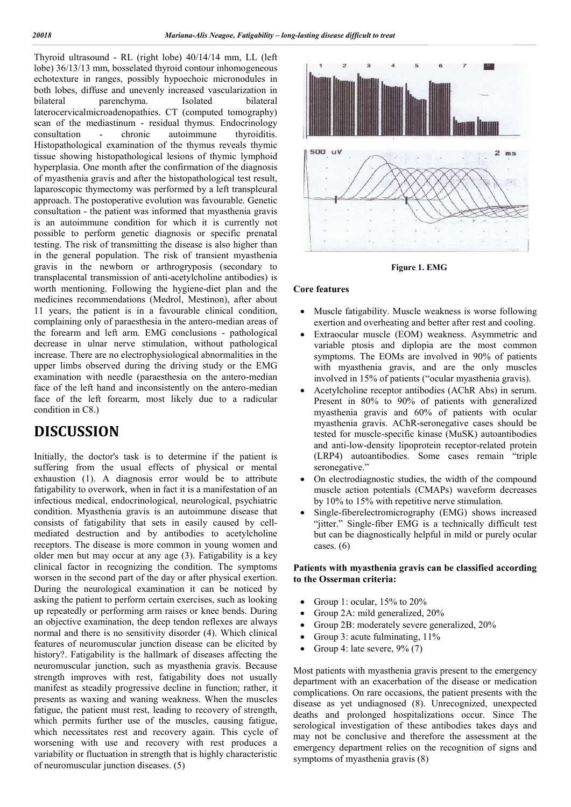Thyroid ultrasound - RL (right lobe) 40/14/14 mm, LL (left lobe) 36/13/13 mm, bosselated thyroid contour inhomogeneous echotexture in ranges, possibly hypoechoic micronodules in both lobes, diffuse and unevenly increased vascularization in bilateral parenchyma. Isolated bilateral laterocervicalmicroadenopathies. CT (computed tomography) scan of the mediastinum - residual thymus. Endocrinology consultation - chronic autoimmune thyroiditis. Histopathological examination of the thymus reveals thymic tissue showing histopathological lesions of thymic lymphoid hyperplasia. One month after the confirmation of the diagnosis of myasthenia gravis and after the histopathological test result, laparoscopic thymectomy was performed by a left transpleural approach. The postoperative evolution was favourable. Genetic consultation - the patient was informed that myasthenia gravis is an autoimmune condition for which it is currently not possible to perform genetic diagnosis or specific prenatal testing. The risk of transmitting the disease is also higher than in the general population. The risk of transient myasthenia gravis in the newborn or arthrogryposis (secondary to transplacental transmission of anti-acetylcholine antibodies) is worth mentioning. Following the hygiene-diet plan and the medicines recommendations (Medrol, Mestinon), after about 11 years, the patient is in a favourable clinical condition, complaining only of paraesthesia in the antero-median areas of the forearm and left arm. EMG conclusions - pathological decrease in ulnar nerve stimulation, without pathological increase. There are no electrophysiological abnormalities in the upper limbs observed during the driving study or the EMG examination with needle (paraesthesia on the antero-median face of the left hand and inconsistently on the antero-median face of the left forearm, most likely due to a radicular condition in C8.)

# **DISCUSSION**

Initially, the doctor's task is to determine if the patient is suffering from the usual effects of physical or mental exhaustion (1). A diagnosis error would be to attribute fatigability to overwork, when in fact it is a manifestation of an infectious medical, endocrinological, neurological, psychiatric condition. Myasthenia gravis is an autoimmune disease that consists of fatigability that sets in easily caused by cellmediated destruction and by antibodies to acetylcholine receptors. The disease is more common in young women and older men but may occur at any age (3). Fatigability is a key clinical factor in recognizing the condition. The symptoms worsen in the second part of the day or after physical exertion. During the neurological examination it can be noticed by asking the patient to perform certain exercises, such as looking up repeatedly or performing arm raises or knee bends. During an objective examination, the deep tendon reflexes are always normal and there is no sensitivity disorder (4). Which clinical features of neuromuscular junction disease can be elicited by history?. Fatigability is the hallmark of diseases affecting the neuromuscular junction, such as myasthenia gravis. Because strength improves with rest, fatigability does not usually manifest as steadily progressive decline in function; rather, it presents as waxing and waning weakness. When the muscles fatigue, the patient must rest, leading to recovery of strength, which permits further use of the muscles, causing fatigue, which necessitates rest and recovery again. This cycle of worsening with use and recovery with rest produces a variability or fluctuation in strength that is highly characteristic of neuromuscular junction diseases. (5)



**Figure 1. EMG**

#### **Core features**

- Muscle fatigability. Muscle weakness is worse following exertion and overheating and better after rest and cooling.
- Extraocular muscle (EOM) weakness. Asymmetric and variable ptosis and diplopia are the most common symptoms. The EOMs are involved in 90% of patients with myasthenia gravis, and are the only muscles involved in 15% of patients ("ocular myasthenia gravis).
- Acetylcholine receptor antibodies (AChR Abs) in serum. Present in 80% to 90% of patients with generalized myasthenia gravis and 60% of patients with ocular myasthenia gravis. AChR-seronegative cases should be tested for muscle-specific kinase (MuSK) autoantibodies and anti-low-density lipoprotein receptor-related protein (LRP4) autoantibodies. Some cases remain "triple seronegative."
- On electrodiagnostic studies, the width of the compound muscle action potentials (CMAPs) waveform decreases by 10% to 15% with repetitive nerve stimulation.
- Single-fiberelectromicrography (EMG) shows increased "jitter." Single-fiber EMG is a technically difficult test but can be diagnostically helpful in mild or purely ocular cases.  $(6)$

#### **Patients with myasthenia gravis can be classified according to the Osserman criteria:**

- Group 1: ocular, 15% to 20%
- Group 2A: mild generalized, 20%
- Group 2B: moderately severe generalized, 20%
- Group 3: acute fulminating, 11%
- Group 4: late severe,  $9\%$  (7)

Most patients with myasthenia gravis present to the emergency department with an exacerbation of the disease or medication complications. On rare occasions, the patient presents with the disease as yet undiagnosed (8). Unrecognized, unexpected deaths and prolonged hospitalizations occur. Since The serological investigation of these antibodies takes days and may not be conclusive and therefore the assessment at the emergency department relies on the recognition of signs and symptoms of myasthenia gravis (8)